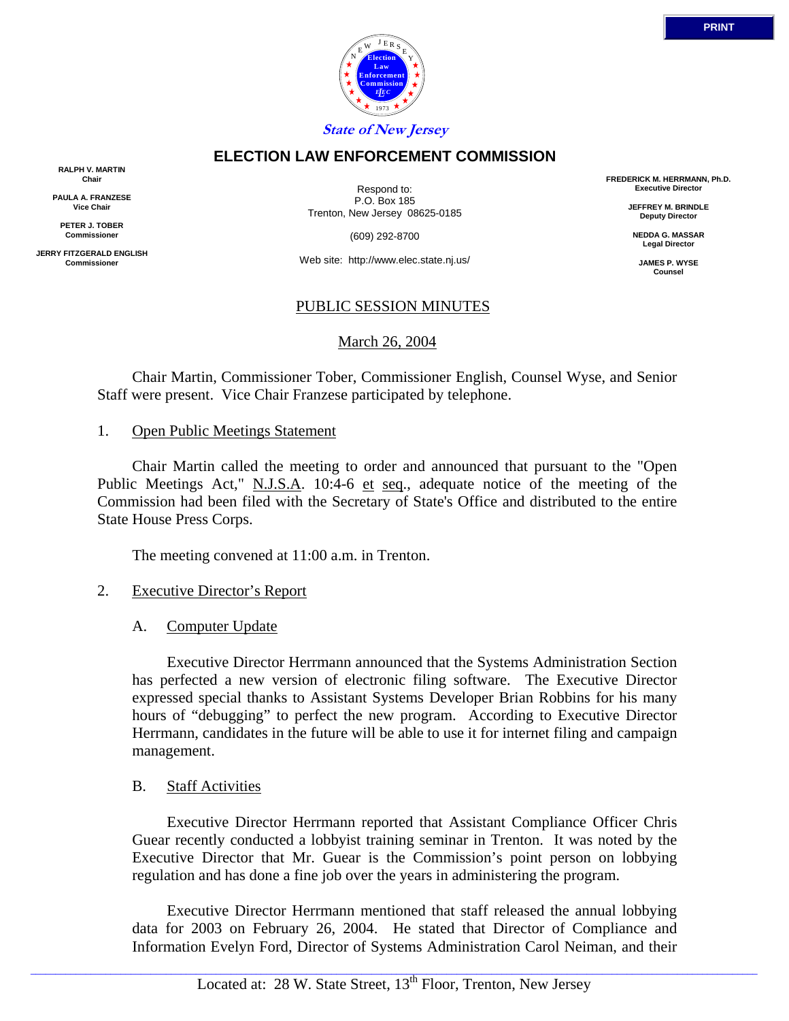

### **ELECTION LAW ENFORCEMENT COMMISSION**

**RALPH V. MARTIN Chair**

**PAULA A. FRANZESE Vice Chair**

**PETER J. TOBER Commissioner**

**JERRY FITZGERALD ENGLISH Commissioner**

Respond to: P.O. Box 185 Trenton, New Jersey 08625-0185

(609) 292-8700

Web site: http://www.elec.state.nj.us/

### PUBLIC SESSION MINUTES

March 26, 2004

 Chair Martin, Commissioner Tober, Commissioner English, Counsel Wyse, and Senior Staff were present. Vice Chair Franzese participated by telephone.

#### 1. Open Public Meetings Statement

 Chair Martin called the meeting to order and announced that pursuant to the "Open Public Meetings Act," N.J.S.A. 10:4-6 et seq., adequate notice of the meeting of the Commission had been filed with the Secretary of State's Office and distributed to the entire State House Press Corps.

The meeting convened at 11:00 a.m. in Trenton.

## 2. Executive Director's Report

## A. Computer Update

 Executive Director Herrmann announced that the Systems Administration Section has perfected a new version of electronic filing software. The Executive Director expressed special thanks to Assistant Systems Developer Brian Robbins for his many hours of "debugging" to perfect the new program. According to Executive Director Herrmann, candidates in the future will be able to use it for internet filing and campaign management.

#### B. Staff Activities

 Executive Director Herrmann reported that Assistant Compliance Officer Chris Guear recently conducted a lobbyist training seminar in Trenton. It was noted by the Executive Director that Mr. Guear is the Commission's point person on lobbying regulation and has done a fine job over the years in administering the program.

 Executive Director Herrmann mentioned that staff released the annual lobbying data for 2003 on February 26, 2004. He stated that Director of Compliance and Information Evelyn Ford, Director of Systems Administration Carol Neiman, and their

**FREDERICK M. HERRMANN, Ph.D. Executive Director**

> **JEFFREY M. BRINDLE Deputy Director**

**NEDDA G. MASSAR Legal Director**

**JAMES P. WYSE Counsel**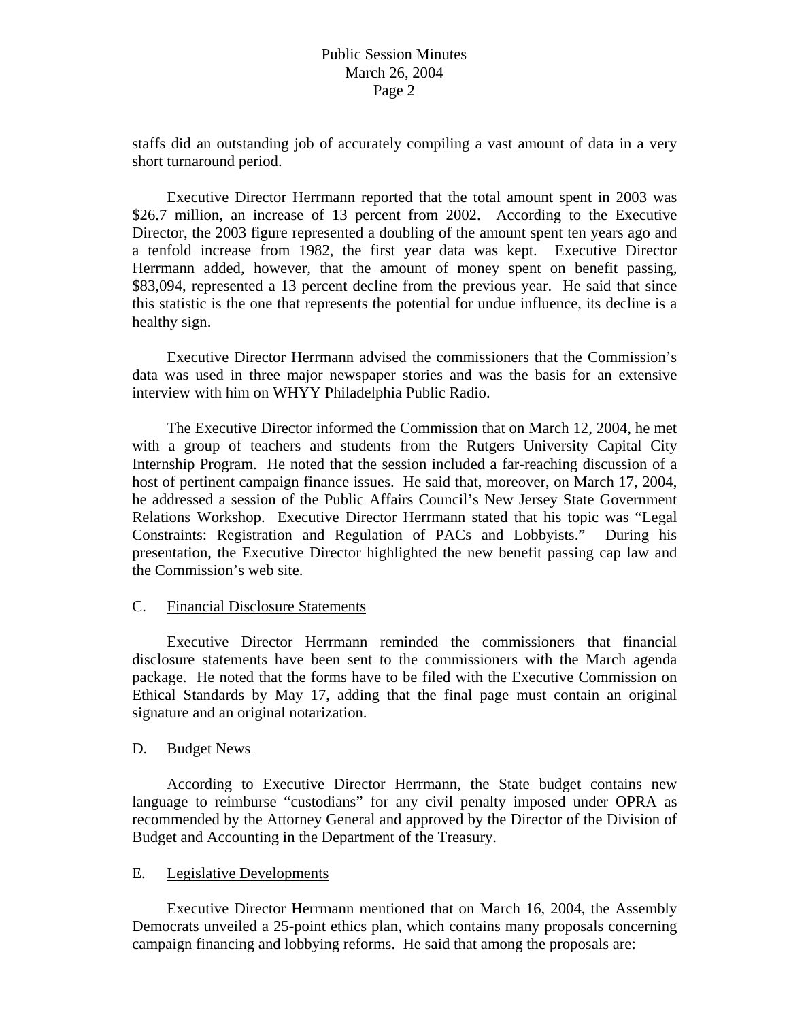staffs did an outstanding job of accurately compiling a vast amount of data in a very short turnaround period.

 Executive Director Herrmann reported that the total amount spent in 2003 was \$26.7 million, an increase of 13 percent from 2002. According to the Executive Director, the 2003 figure represented a doubling of the amount spent ten years ago and a tenfold increase from 1982, the first year data was kept. Executive Director Herrmann added, however, that the amount of money spent on benefit passing, \$83,094, represented a 13 percent decline from the previous year. He said that since this statistic is the one that represents the potential for undue influence, its decline is a healthy sign.

 Executive Director Herrmann advised the commissioners that the Commission's data was used in three major newspaper stories and was the basis for an extensive interview with him on WHYY Philadelphia Public Radio.

 The Executive Director informed the Commission that on March 12, 2004, he met with a group of teachers and students from the Rutgers University Capital City Internship Program. He noted that the session included a far-reaching discussion of a host of pertinent campaign finance issues. He said that, moreover, on March 17, 2004, he addressed a session of the Public Affairs Council's New Jersey State Government Relations Workshop. Executive Director Herrmann stated that his topic was "Legal Constraints: Registration and Regulation of PACs and Lobbyists." During his presentation, the Executive Director highlighted the new benefit passing cap law and the Commission's web site.

## C. Financial Disclosure Statements

 Executive Director Herrmann reminded the commissioners that financial disclosure statements have been sent to the commissioners with the March agenda package. He noted that the forms have to be filed with the Executive Commission on Ethical Standards by May 17, adding that the final page must contain an original signature and an original notarization.

#### D. Budget News

According to Executive Director Herrmann, the State budget contains new language to reimburse "custodians" for any civil penalty imposed under OPRA as recommended by the Attorney General and approved by the Director of the Division of Budget and Accounting in the Department of the Treasury.

### E. Legislative Developments

 Executive Director Herrmann mentioned that on March 16, 2004, the Assembly Democrats unveiled a 25-point ethics plan, which contains many proposals concerning campaign financing and lobbying reforms. He said that among the proposals are: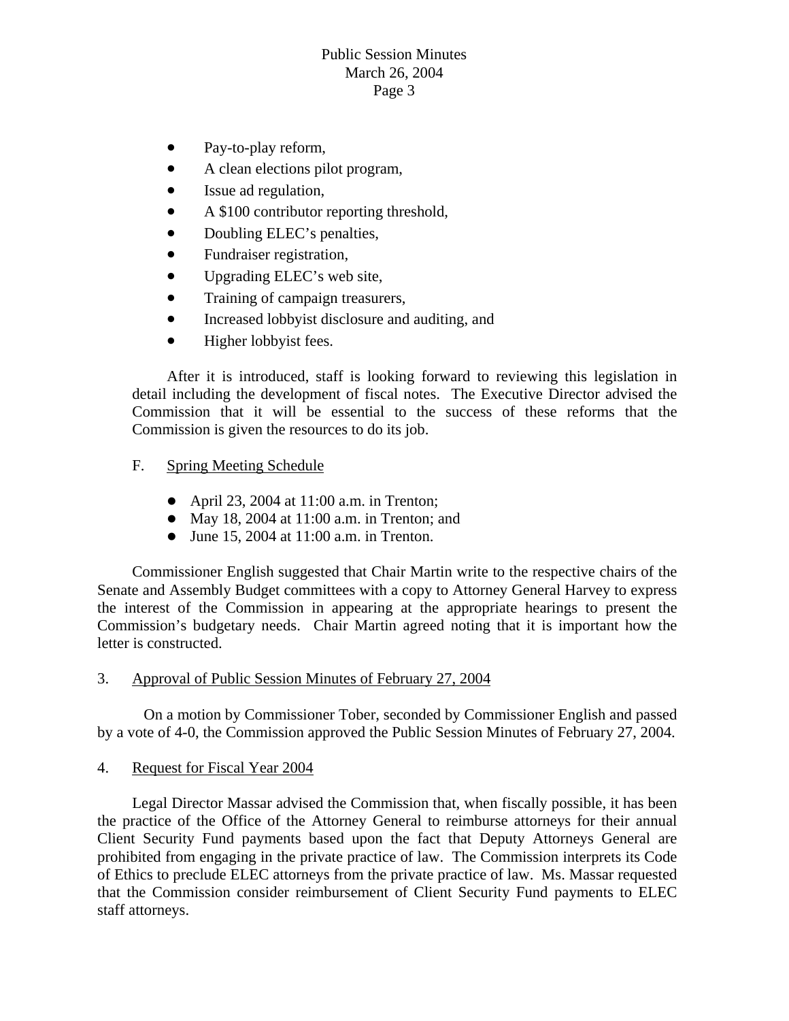# Public Session Minutes March 26, 2004 Page 3

- Pay-to-play reform,
- A clean elections pilot program,
- Issue ad regulation,
- A \$100 contributor reporting threshold,
- Doubling ELEC's penalties,
- Fundraiser registration,
- Upgrading ELEC's web site,
- Training of campaign treasurers,
- Increased lobbyist disclosure and auditing, and
- Higher lobbyist fees.

detail including the development of fiscal notes. The Executive Director advised the Commission that it will be essential to the success of these reforms that the Commission is given the resources to do its job. After it is introduced, staff is looking forward to reviewing this legislation in

## F. Spring Meeting Schedule

- April 23, 2004 at  $11:00$  a.m. in Trenton;
- May 18, 2004 at  $11:00$  a.m. in Trenton; and
- $\bullet$  June 15, 2004 at 11:00 a.m. in Trenton.

the interest of the Commission in appearing at the appropriate hearings to present the Commission's budgetary needs. Chair Martin agreed noting that it is important how the Commissioner English suggested that Chair Martin write to the respective chairs of the Senate and Assembly Budget committees with a copy to Attorney General Harvey to express letter is constructed.

### 3. Approval of Public Session Minutes of February 27, 2004

On a motion by Commissioner Tober, seconded by Commissioner English and passed by a vote of 4-0, the Commission approved the Public Session Minutes of February 27, 2004.

4. Request for Fiscal Year 2004

Legal Director Massar advised the Commission that, when fiscally possible, it has been the practice of the Office of the Attorney General to reimburse attorneys for their annual Client Security Fund payments based upon the fact that Deputy Attorneys General are prohibited from engaging in the private practice of law. The Commission interprets its Code of Ethics to preclude ELEC attorneys from the private practice of law. Ms. Massar requested that the Commission consider reimbursement of Client Security Fund payments to ELEC staff attorneys.